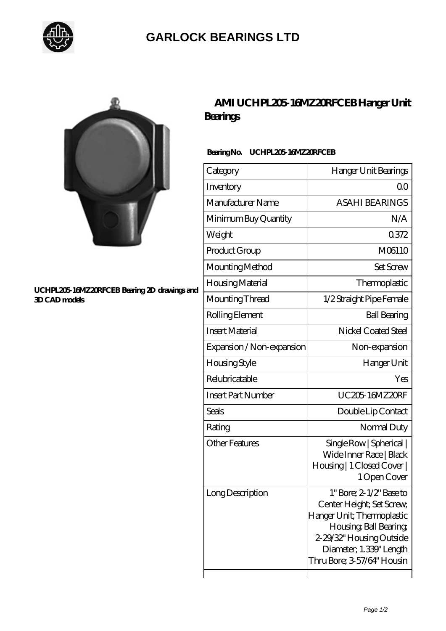

## **[GARLOCK BEARINGS LTD](https://m.letterstopriests.com)**



#### **[UCHPL205-16MZ20RFCEB Bearing 2D drawings and](https://m.letterstopriests.com/pic-189110.html) [3D CAD models](https://m.letterstopriests.com/pic-189110.html)**

### **[AMI UCHPL205-16MZ20RFCEB Hanger Unit](https://m.letterstopriests.com/az-189110-ami-uchpl205-16mz20rfceb-hanger-unit-bearings.html) [Bearings](https://m.letterstopriests.com/az-189110-ami-uchpl205-16mz20rfceb-hanger-unit-bearings.html)**

### **Bearing No. UCHPL205-16MZ20RFCEB**

| Category                  | Hanger Unit Bearings                                                                                                                                                                                                |
|---------------------------|---------------------------------------------------------------------------------------------------------------------------------------------------------------------------------------------------------------------|
| Inventory                 | Q0                                                                                                                                                                                                                  |
| Manufacturer Name         | <b>ASAHI BEARINGS</b>                                                                                                                                                                                               |
| Minimum Buy Quantity      | N/A                                                                                                                                                                                                                 |
| Weight                    | 0372                                                                                                                                                                                                                |
| Product Group             | M06110                                                                                                                                                                                                              |
| Mounting Method           | <b>Set Screw</b>                                                                                                                                                                                                    |
| Housing Material          | Thermoplastic                                                                                                                                                                                                       |
| Mounting Thread           | 1/2 Straight Pipe Female                                                                                                                                                                                            |
| Rolling Element           | <b>Ball Bearing</b>                                                                                                                                                                                                 |
| <b>Insert Material</b>    | Nickel Coated Steel                                                                                                                                                                                                 |
| Expansion / Non-expansion | Non-expansion                                                                                                                                                                                                       |
| Housing Style             | Hanger Unit                                                                                                                                                                                                         |
| Relubricatable            | Yes                                                                                                                                                                                                                 |
| <b>Insert Part Number</b> | <b>UC205 16MZ20RF</b>                                                                                                                                                                                               |
| <b>Seals</b>              | Double Lip Contact                                                                                                                                                                                                  |
| Rating                    | Normal Duty                                                                                                                                                                                                         |
| <b>Other Features</b>     | Single Row   Spherical  <br>Wide Inner Race   Black<br>Housing   1 Closed Cover  <br>1 Open Cover                                                                                                                   |
| Long Description          | $1^{\circ}$ Bore; $2 \frac{1}{2}$ Base to<br>Center Height; Set Screw,<br>Hanger Unit; Thermoplastic<br>Housing, Ball Bearing,<br>2-29/32" Housing Outside<br>Diameter; 1.339" Length<br>Thru Bore; 3-57/64" Housin |